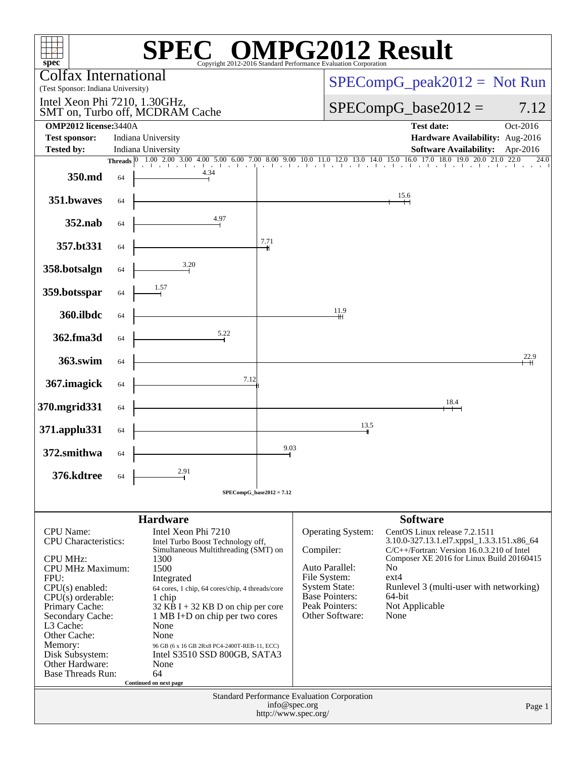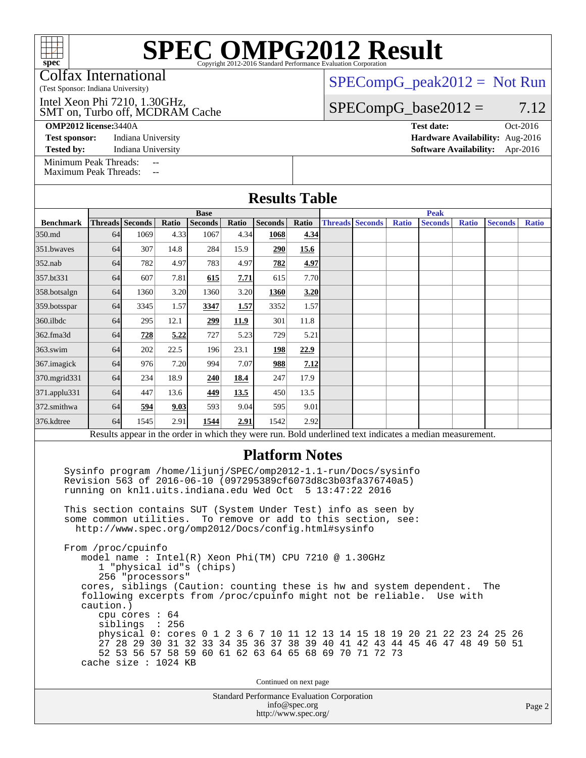Colfax International

(Test Sponsor: Indiana University)

SMT on, Turbo off, MCDRAM Cache Intel Xeon Phi 7210, 1.30GHz,

**[Test sponsor:](http://www.spec.org/auto/omp2012/Docs/result-fields.html#Testsponsor)** Indiana University **[Hardware Availability:](http://www.spec.org/auto/omp2012/Docs/result-fields.html#HardwareAvailability)** Aug-2016

 $SPECompG_peak2012 = Not Run$  $SPECompG_peak2012 = Not Run$ 

 $SPECompG_base2012 = 7.12$  $SPECompG_base2012 = 7.12$ 

**[OMP2012 license:](http://www.spec.org/auto/omp2012/Docs/result-fields.html#OMP2012license)**3440A **[Test date:](http://www.spec.org/auto/omp2012/Docs/result-fields.html#Testdate)** Oct-2016

**[Tested by:](http://www.spec.org/auto/omp2012/Docs/result-fields.html#Testedby)** Indiana University **[Software Availability:](http://www.spec.org/auto/omp2012/Docs/result-fields.html#SoftwareAvailability)** Apr-2016

[Minimum Peak Threads:](http://www.spec.org/auto/omp2012/Docs/result-fields.html#MinimumPeakThreads) [Maximum Peak Threads:](http://www.spec.org/auto/omp2012/Docs/result-fields.html#MaximumPeakThreads)

| <b>Results Table</b> |             |                 |       |                |       |                |       |             |                        |              |                |              |                |              |
|----------------------|-------------|-----------------|-------|----------------|-------|----------------|-------|-------------|------------------------|--------------|----------------|--------------|----------------|--------------|
|                      | <b>Base</b> |                 |       |                |       |                |       | <b>Peak</b> |                        |              |                |              |                |              |
| <b>Benchmark</b>     |             | Threads Seconds | Ratio | <b>Seconds</b> | Ratio | <b>Seconds</b> | Ratio |             | <b>Threads Seconds</b> | <b>Ratio</b> | <b>Seconds</b> | <b>Ratio</b> | <b>Seconds</b> | <b>Ratio</b> |
| 350.md               | 64          | 1069            | 4.33  | 1067           | 4.34  | 1068           | 4.34  |             |                        |              |                |              |                |              |
| 351.bwayes           | 64          | 307             | 14.8  | 284            | 15.9  | 290            | 15.6  |             |                        |              |                |              |                |              |
| $352$ .nab           | 64          | 782             | 4.97  | 783            | 4.97  | 782            | 4.97  |             |                        |              |                |              |                |              |
| 357.bt331            | 64          | 607             | 7.81  | 615            | 7.71  | 615            | 7.70  |             |                        |              |                |              |                |              |
| 358.botsalgn         | 64          | 1360            | 3.20  | 1360           | 3.20  | 1360           | 3.20  |             |                        |              |                |              |                |              |
| 359.botsspar         | 64          | 3345            | 1.57  | 3347           | 1.57  | 3352           | 1.57  |             |                        |              |                |              |                |              |
| 360.ilbdc            | 64          | 295             | 12.1  | 299            | 11.9  | 301            | 11.8  |             |                        |              |                |              |                |              |
| 362.fma3d            | 64          | 728             | 5.22  | 727            | 5.23  | 729            | 5.21  |             |                        |              |                |              |                |              |
| 363.swim             | 64          | 202             | 22.5  | 196            | 23.1  | 198            | 22.9  |             |                        |              |                |              |                |              |
| 367.imagick          | 64          | 976             | 7.20  | 994            | 7.07  | 988            | 7.12  |             |                        |              |                |              |                |              |
| 370.mgrid331         | 64          | 234             | 18.9  | 240            | 18.4  | 247            | 17.9  |             |                        |              |                |              |                |              |
| 371.applu331         | 64          | 447             | 13.6  | 449            | 13.5  | 450            | 13.5  |             |                        |              |                |              |                |              |
| 372.smithwa          | 64          | 594             | 9.03  | 593            | 9.04  | 595            | 9.01  |             |                        |              |                |              |                |              |
| 376.kdtree           | 64          | 1545            | 2.91  | 1544           | 2.91  | 1542           | 2.92  |             |                        |              |                |              |                |              |

#### **[Platform Notes](http://www.spec.org/auto/omp2012/Docs/result-fields.html#PlatformNotes)**

 Sysinfo program /home/lijunj/SPEC/omp2012-1.1-run/Docs/sysinfo Revision 563 of 2016-06-10 (097295389cf6073d8c3b03fa376740a5) running on knl1.uits.indiana.edu Wed Oct 5 13:47:22 2016

 This section contains SUT (System Under Test) info as seen by some common utilities. To remove or add to this section, see: <http://www.spec.org/omp2012/Docs/config.html#sysinfo>

 From /proc/cpuinfo model name : Intel(R) Xeon Phi(TM) CPU 7210 @ 1.30GHz 1 "physical id"s (chips) 256 "processors" cores, siblings (Caution: counting these is hw and system dependent. The following excerpts from /proc/cpuinfo might not be reliable. Use with caution.) cpu cores : 64 siblings : 256 physical 0: cores 0 1 2 3 6 7 10 11 12 13 14 15 18 19 20 21 22 23 24 25 26 27 28 29 30 31 32 33 34 35 36 37 38 39 40 41 42 43 44 45 46 47 48 49 50 51 52 53 56 57 58 59 60 61 62 63 64 65 68 69 70 71 72 73 cache size : 1024 KB

Continued on next page

Standard Performance Evaluation Corporation [info@spec.org](mailto:info@spec.org) <http://www.spec.org/>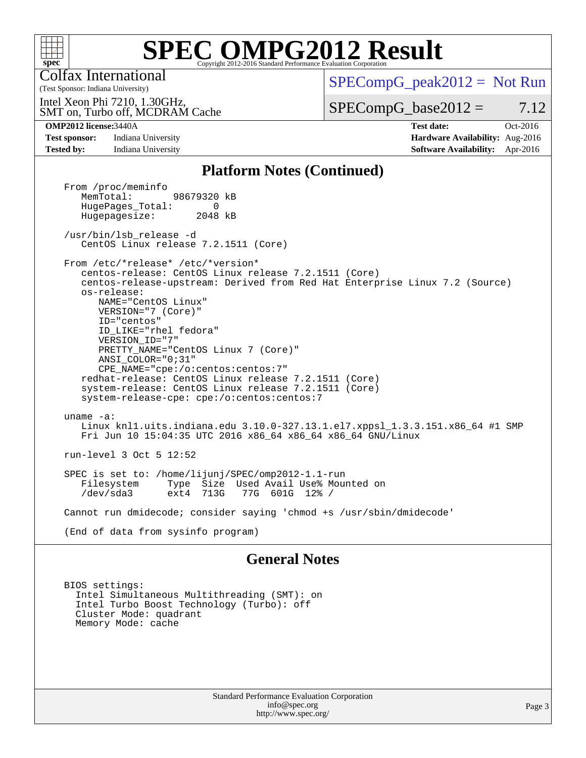

Colfax International

 $SPECompG_peak2012 = Not Run$  $SPECompG_peak2012 = Not Run$ 

SMT on, Turbo off, MCDRAM Cache Intel Xeon Phi 7210, 1.30GHz,

 $SPECompG_base2012 = 7.12$  $SPECompG_base2012 = 7.12$ 

(Test Sponsor: Indiana University)

**[OMP2012 license:](http://www.spec.org/auto/omp2012/Docs/result-fields.html#OMP2012license)**3440A **[Test date:](http://www.spec.org/auto/omp2012/Docs/result-fields.html#Testdate)** Oct-2016 **[Test sponsor:](http://www.spec.org/auto/omp2012/Docs/result-fields.html#Testsponsor)** Indiana University **[Hardware Availability:](http://www.spec.org/auto/omp2012/Docs/result-fields.html#HardwareAvailability)** Aug-2016 **[Tested by:](http://www.spec.org/auto/omp2012/Docs/result-fields.html#Testedby)** Indiana University **[Software Availability:](http://www.spec.org/auto/omp2012/Docs/result-fields.html#SoftwareAvailability)** Apr-2016

#### **[Platform Notes \(Continued\)](http://www.spec.org/auto/omp2012/Docs/result-fields.html#PlatformNotes)**

From /proc/meminfo<br>MemTotal: 98679320 kB HugePages\_Total: 0<br>Hugepagesize: 2048 kB Hugepagesize: /usr/bin/lsb\_release -d CentOS Linux release 7.2.1511 (Core) From /etc/\*release\* /etc/\*version\* centos-release: CentOS Linux release 7.2.1511 (Core) centos-release-upstream: Derived from Red Hat Enterprise Linux 7.2 (Source) os-release: NAME="CentOS Linux" VERSION="7 (Core)" ID="centos" ID\_LIKE="rhel fedora" VERSION\_ID="7" PRETTY\_NAME="CentOS Linux 7 (Core)" ANSI\_COLOR="0;31" CPE\_NAME="cpe:/o:centos:centos:7" redhat-release: CentOS Linux release 7.2.1511 (Core) system-release: CentOS Linux release 7.2.1511 (Core) system-release-cpe: cpe:/o:centos:centos:7 uname -a: Linux knl1.uits.indiana.edu 3.10.0-327.13.1.el7.xppsl\_1.3.3.151.x86\_64 #1 SMP Fri Jun 10 15:04:35 UTC 2016 x86\_64 x86\_64 x86\_64 GNU/Linux run-level 3 Oct 5 12:52 SPEC is set to: /home/lijunj/SPEC/omp2012-1.1-run Type Size Used Avail Use% Mounted on<br>ext4 713G 77G 601G 12% / /dev/sda3 ext4 713G 77G 601G 12% / Cannot run dmidecode; consider saying 'chmod +s /usr/sbin/dmidecode' (End of data from sysinfo program)

#### **[General Notes](http://www.spec.org/auto/omp2012/Docs/result-fields.html#GeneralNotes)**

 BIOS settings: Intel Simultaneous Multithreading (SMT): on Intel Turbo Boost Technology (Turbo): off Cluster Mode: quadrant Memory Mode: cache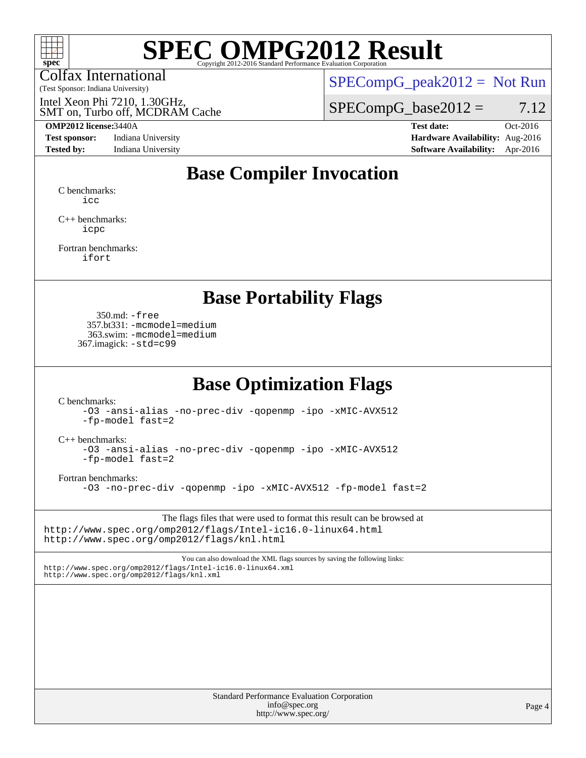

Colfax International

(Test Sponsor: Indiana University)

 $SPECompG_peak2012 = Not Run$  $SPECompG_peak2012 = Not Run$ 

SMT on, Turbo off, MCDRAM Cache Intel Xeon Phi 7210, 1.30GHz,

#### **[OMP2012 license:](http://www.spec.org/auto/omp2012/Docs/result-fields.html#OMP2012license)**3440A **[Test date:](http://www.spec.org/auto/omp2012/Docs/result-fields.html#Testdate)** Oct-2016

**[Test sponsor:](http://www.spec.org/auto/omp2012/Docs/result-fields.html#Testsponsor)** Indiana University **[Hardware Availability:](http://www.spec.org/auto/omp2012/Docs/result-fields.html#HardwareAvailability)** Aug-2016

 $SPECompG_base2012 = 7.12$  $SPECompG_base2012 = 7.12$ 

**[Tested by:](http://www.spec.org/auto/omp2012/Docs/result-fields.html#Testedby)** Indiana University **[Software Availability:](http://www.spec.org/auto/omp2012/Docs/result-fields.html#SoftwareAvailability)** Apr-2016

### **[Base Compiler Invocation](http://www.spec.org/auto/omp2012/Docs/result-fields.html#BaseCompilerInvocation)**

[C benchmarks](http://www.spec.org/auto/omp2012/Docs/result-fields.html#Cbenchmarks): [icc](http://www.spec.org/omp2012/results/res2016q4/omp2012-20161014-00083.flags.html#user_CCbase_intel_icc_a87c68a857bc5ec5362391a49d3a37a6)

[C++ benchmarks:](http://www.spec.org/auto/omp2012/Docs/result-fields.html#CXXbenchmarks) [icpc](http://www.spec.org/omp2012/results/res2016q4/omp2012-20161014-00083.flags.html#user_CXXbase_intel_icpc_2d899f8d163502b12eb4a60069f80c1c)

[Fortran benchmarks](http://www.spec.org/auto/omp2012/Docs/result-fields.html#Fortranbenchmarks): [ifort](http://www.spec.org/omp2012/results/res2016q4/omp2012-20161014-00083.flags.html#user_FCbase_intel_ifort_8a5e5e06b19a251bdeaf8fdab5d62f20)

#### **[Base Portability Flags](http://www.spec.org/auto/omp2012/Docs/result-fields.html#BasePortabilityFlags)**

 350.md: [-free](http://www.spec.org/omp2012/results/res2016q4/omp2012-20161014-00083.flags.html#user_baseFPORTABILITY350_md_f-FR_e51be0673775d2012b3310fa5323f530) 357.bt331: [-mcmodel=medium](http://www.spec.org/omp2012/results/res2016q4/omp2012-20161014-00083.flags.html#user_baseFPORTABILITY357_bt331_f-mcmodel_3a41622424bdd074c4f0f2d2f224c7e5) 363.swim: [-mcmodel=medium](http://www.spec.org/omp2012/results/res2016q4/omp2012-20161014-00083.flags.html#user_baseFPORTABILITY363_swim_f-mcmodel_3a41622424bdd074c4f0f2d2f224c7e5) 367.imagick: [-std=c99](http://www.spec.org/omp2012/results/res2016q4/omp2012-20161014-00083.flags.html#user_baseCPORTABILITY367_imagick_f-std_2ec6533b6e06f1c4a6c9b78d9e9cde24)

### **[Base Optimization Flags](http://www.spec.org/auto/omp2012/Docs/result-fields.html#BaseOptimizationFlags)**

[C benchmarks](http://www.spec.org/auto/omp2012/Docs/result-fields.html#Cbenchmarks):

[-O3](http://www.spec.org/omp2012/results/res2016q4/omp2012-20161014-00083.flags.html#user_CCbase_f-O3) [-ansi-alias](http://www.spec.org/omp2012/results/res2016q4/omp2012-20161014-00083.flags.html#user_CCbase_f-ansi-alias) [-no-prec-div](http://www.spec.org/omp2012/results/res2016q4/omp2012-20161014-00083.flags.html#user_CCbase_f-no-prec-div) [-qopenmp](http://www.spec.org/omp2012/results/res2016q4/omp2012-20161014-00083.flags.html#user_CCbase_f-qopenmp) [-ipo](http://www.spec.org/omp2012/results/res2016q4/omp2012-20161014-00083.flags.html#user_CCbase_f-ipo) [-xMIC-AVX512](http://www.spec.org/omp2012/results/res2016q4/omp2012-20161014-00083.flags.html#user_CCbase_f-xMIC-AVX512) [-fp-model fast=2](http://www.spec.org/omp2012/results/res2016q4/omp2012-20161014-00083.flags.html#user_CCbase_f-fp-model_a7fb8ccb7275e23f0079632c153cfcab)

[C++ benchmarks:](http://www.spec.org/auto/omp2012/Docs/result-fields.html#CXXbenchmarks)

[-O3](http://www.spec.org/omp2012/results/res2016q4/omp2012-20161014-00083.flags.html#user_CXXbase_f-O3) [-ansi-alias](http://www.spec.org/omp2012/results/res2016q4/omp2012-20161014-00083.flags.html#user_CXXbase_f-ansi-alias) [-no-prec-div](http://www.spec.org/omp2012/results/res2016q4/omp2012-20161014-00083.flags.html#user_CXXbase_f-no-prec-div) [-qopenmp](http://www.spec.org/omp2012/results/res2016q4/omp2012-20161014-00083.flags.html#user_CXXbase_f-qopenmp) [-ipo](http://www.spec.org/omp2012/results/res2016q4/omp2012-20161014-00083.flags.html#user_CXXbase_f-ipo) [-xMIC-AVX512](http://www.spec.org/omp2012/results/res2016q4/omp2012-20161014-00083.flags.html#user_CXXbase_f-xMIC-AVX512) [-fp-model fast=2](http://www.spec.org/omp2012/results/res2016q4/omp2012-20161014-00083.flags.html#user_CXXbase_f-fp-model_a7fb8ccb7275e23f0079632c153cfcab)

[Fortran benchmarks](http://www.spec.org/auto/omp2012/Docs/result-fields.html#Fortranbenchmarks):

[-O3](http://www.spec.org/omp2012/results/res2016q4/omp2012-20161014-00083.flags.html#user_FCbase_f-O3) [-no-prec-div](http://www.spec.org/omp2012/results/res2016q4/omp2012-20161014-00083.flags.html#user_FCbase_f-no-prec-div) [-qopenmp](http://www.spec.org/omp2012/results/res2016q4/omp2012-20161014-00083.flags.html#user_FCbase_f-qopenmp) [-ipo](http://www.spec.org/omp2012/results/res2016q4/omp2012-20161014-00083.flags.html#user_FCbase_f-ipo) [-xMIC-AVX512](http://www.spec.org/omp2012/results/res2016q4/omp2012-20161014-00083.flags.html#user_FCbase_f-xMIC-AVX512) [-fp-model fast=2](http://www.spec.org/omp2012/results/res2016q4/omp2012-20161014-00083.flags.html#user_FCbase_f-fp-model_a7fb8ccb7275e23f0079632c153cfcab)

The flags files that were used to format this result can be browsed at <http://www.spec.org/omp2012/flags/Intel-ic16.0-linux64.html> <http://www.spec.org/omp2012/flags/knl.html>

You can also download the XML flags sources by saving the following links: <http://www.spec.org/omp2012/flags/Intel-ic16.0-linux64.xml> <http://www.spec.org/omp2012/flags/knl.xml>